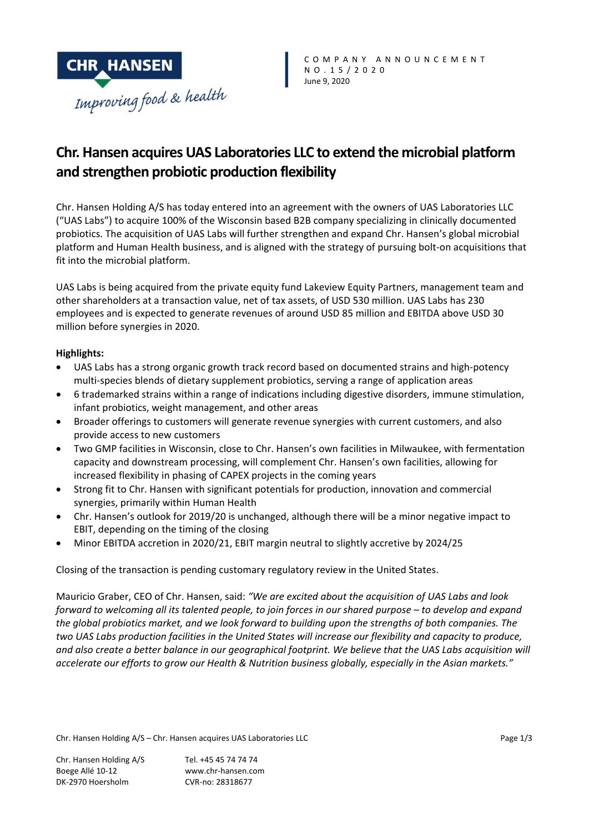

# **Chr. Hansen acquires UAS Laboratories LLC to extend the microbial platform and strengthen probiotic production flexibility**

Chr. Hansen Holding A/S has today entered into an agreement with the owners of UAS Laboratories LLC ("UAS Labs") to acquire 100% of the Wisconsin based B2B company specializing in clinically documented probiotics. The acquisition of UAS Labs will further strengthen and expand Chr. Hansen's global microbial platform and Human Health business, and is aligned with the strategy of pursuing bolt‐on acquisitions that fit into the microbial platform.

UAS Labs is being acquired from the private equity fund Lakeview Equity Partners, management team and other shareholders at a transaction value, net of tax assets, of USD 530 million. UAS Labs has 230 employees and is expected to generate revenues of around USD 85 million and EBITDA above USD 30 million before synergies in 2020.

# **Highlights:**

- UAS Labs has a strong organic growth track record based on documented strains and high-potency multi-species blends of dietary supplement probiotics, serving a range of application areas
- 6 trademarked strains within a range of indications including digestive disorders, immune stimulation, infant probiotics, weight management, and other areas
- Broader offerings to customers will generate revenue synergies with current customers, and also provide access to new customers
- Two GMP facilities in Wisconsin, close to Chr. Hansen's own facilities in Milwaukee, with fermentation capacity and downstream processing, will complement Chr. Hansen's own facilities, allowing for increased flexibility in phasing of CAPEX projects in the coming years
- Strong fit to Chr. Hansen with significant potentials for production, innovation and commercial synergies, primarily within Human Health
- Chr. Hansen's outlook for 2019/20 is unchanged, although there will be a minor negative impact to EBIT, depending on the timing of the closing
- Minor EBITDA accretion in 2020/21, EBIT margin neutral to slightly accretive by 2024/25

Closing of the transaction is pending customary regulatory review in the United States.

Mauricio Graber, CEO of Chr. Hansen, said: *"We are excited about the acquisition of UAS Labs and look* forward to welcoming all its talented people, to join forces in our shared purpose - to develop and expand *the global probiotics market, and we look forward to building upon the strengths of both companies. The* two UAS Labs production facilities in the United States will increase our flexibility and capacity to produce, and also create a better balance in our geographical footprint. We believe that the UAS Labs acquisition will *accelerate our efforts to grow our Health & Nutrition business globally, especially in the Asian markets."*

Chr. Hansen Holding A/S – Chr. Hansen acquires UAS Laboratories LLC Page 1/3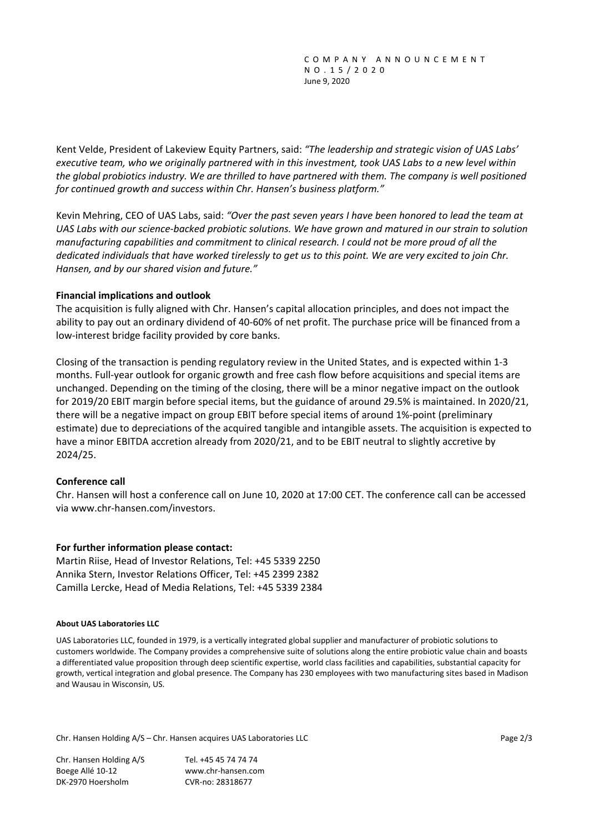Kent Velde, President of Lakeview Equity Partners, said: *"The leadership and strategic vision of UAS Labs'* executive team, who we originally partnered with in this investment, took UAS Labs to a new level within the global probiotics industry. We are thrilled to have partnered with them. The company is well positioned *for continued growth and success within Chr. Hansen's business platform."*

Kevin Mehring, CEO of UAS Labs, said: *"Over the past seven years I have been honored to lead the team at* UAS Labs with our science-backed probiotic solutions. We have grown and matured in our strain to solution *manufacturing capabilities and commitment to clinical research. I could not be more proud of all the* dedicated individuals that have worked tirelessly to aet us to this point. We are very excited to join Chr. *Hansen, and by our shared vision and future."*

# **Financial implications and outlook**

The acquisition is fully aligned with Chr. Hansen's capital allocation principles, and does not impact the ability to pay out an ordinary dividend of 40‐60% of net profit. The purchase price will be financed from a low‐interest bridge facility provided by core banks.

Closing of the transaction is pending regulatory review in the United States, and is expected within 1‐3 months. Full‐year outlook for organic growth and free cash flow before acquisitions and special items are unchanged. Depending on the timing of the closing, there will be a minor negative impact on the outlook for 2019/20 EBIT margin before special items, but the guidance of around 29.5% is maintained. In 2020/21, there will be a negative impact on group EBIT before special items of around 1%‐point (preliminary estimate) due to depreciations of the acquired tangible and intangible assets. The acquisition is expected to have a minor EBITDA accretion already from 2020/21, and to be EBIT neutral to slightly accretive by 2024/25.

# **Conference call**

Chr. Hansen will host a conference call on June 10, 2020 at 17:00 CET. The conference call can be accessed via www.chr‐hansen.com/investors.

## **For further information please contact:**

Martin Riise, Head of Investor Relations, Tel: +45 5339 2250 Annika Stern, Investor Relations Officer, Tel: +45 2399 2382 Camilla Lercke, Head of Media Relations, Tel: +45 5339 2384

## **About UAS Laboratories LLC**

UAS Laboratories LLC, founded in 1979, is a vertically integrated global supplier and manufacturer of probiotic solutions to customers worldwide. The Company provides a comprehensive suite of solutions along the entire probiotic value chain and boasts a differentiated value proposition through deep scientific expertise, world class facilities and capabilities, substantial capacity for growth, vertical integration and global presence. The Company has 230 employees with two manufacturing sites based in Madison and Wausau in Wisconsin, US.

Chr. Hansen Holding A/S – Chr. Hansen acquires UAS Laboratories LLC Page 2/3